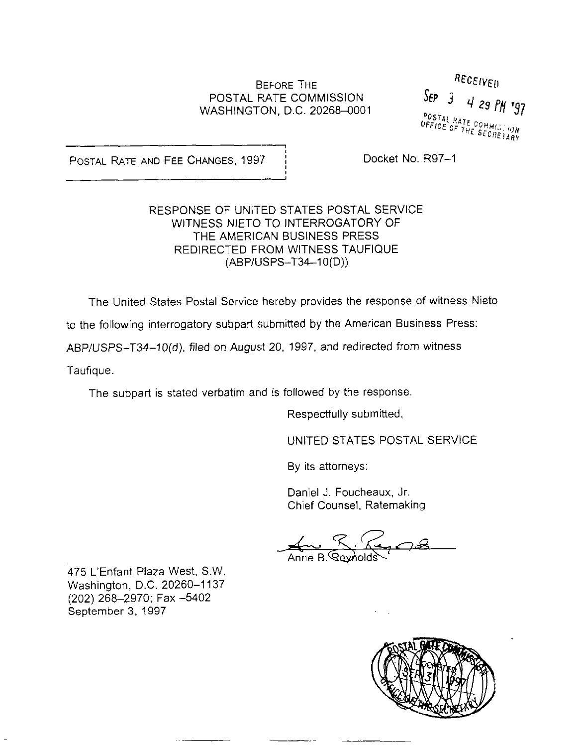# POSTAL FATE COMMlSSlON WASHINGTON, D.C. 20268-0001

BEFORE THE  $RECEIVED$ <br>RATE COMMISSION SEP  $\frac{1}{3}$  4 29 PM 197 POSTAL RATE COMMISSION<br>OFFICE OF THE SECRETARY

POSTAL RATE AND FEE CHANGES, 1997 : Docket No. R97-1

#### RESPONSE OF UNITED STATES POSTAL SERVICE WITNESS NIETO TO INTERROGATORY OF THE AMERICAN BUSINESS PRESS REDIRECTED FROM WITNESS TAUFIQUE (ABPIUSPS-T34-1 O(D))

The United States Postal Service hereby provides the response of witness Nieto

to the following interrogatory subpart submitted by the American Business Press:

ABP/USPS-T34-10(d), tiled on August 20. 1997, and redirected from witness

Taufique.

The subpart is stated verbatim and is followed by the response.

Respectfully submitted,

UNITED STATES POSTAL SERVICE

By its attorneys:

Daniel J. Foucheaux. Jr. Chief Counsel, Ratemaking

Anne B Reviold

475 L'Enfant Plaza West, S.W. Washington, D.C. 20260-1137 (202) 268-2970; Fax -5402 September 3. 1997

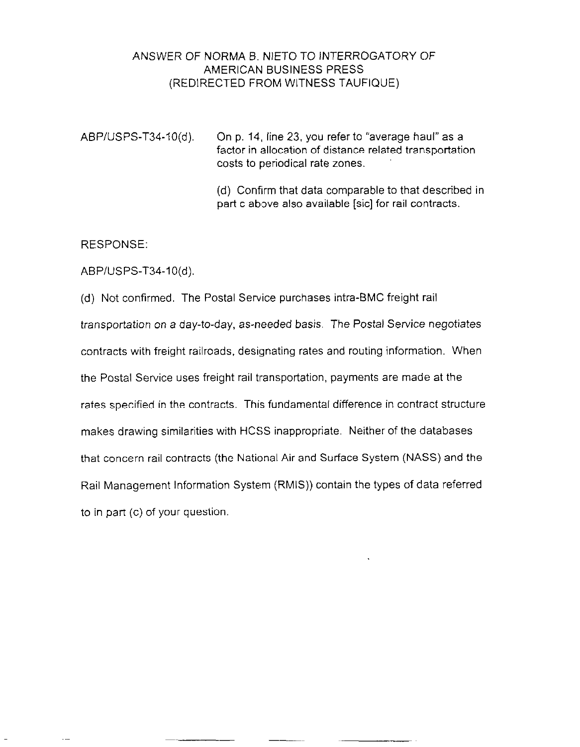### ANSWER OF NORMA B. NlETO TO INTERROGATORY OF AMERICAN BUSINESS PRESS (REDIRECTED FROM WITNESS TAUFIQUE)

ABP/USPS-T34-IO(d). On p. 14, line 23, you refer to "average haul" as a factor in allocation of distance related transportation costs to periodical rate zones.

> (d) Confirm that data comparable to that described in part c above also available [sic] for rail contracts.

RESPONSE:

ABP/USPS-T34-10(d).

(d) Not confirmed. The Postal Service purchases intra-BMC freight rail transportation on a day-to-day, as-needed basis. The Postal Service negotiates contracts with freight railroads, designating rates and routing information. When the Postal Service uses freight rail transportation, payments are made at the rates specified in the contracts. This fundamental difference in contract structure makes drawing similarities with HCSS inappropriate. Neither of the databases that concern rail contracts (the National Air and Surface System (NASS) and the Rail Management Information System (RMIS)) contain the types of data referred to in part (c) of your question.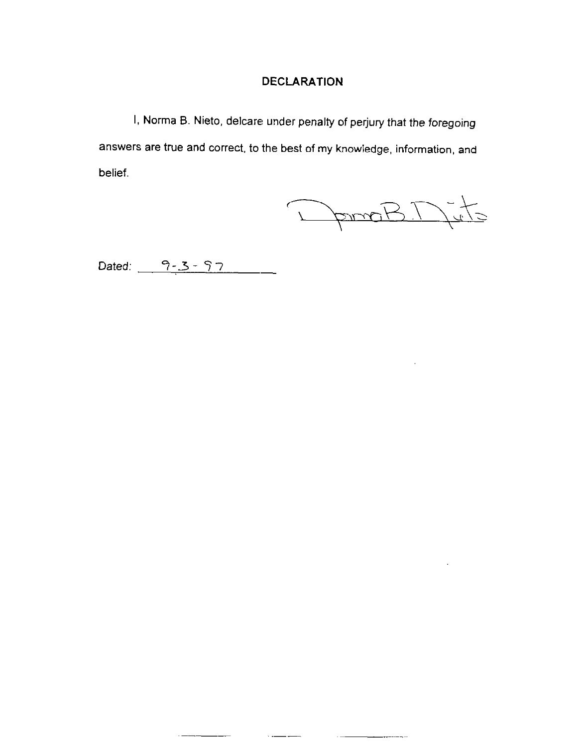## **DECLARATION**

I, Norma B. Nieto, delcare under penalty of perjury that the foregoing answers are true and correct, to the best of my knowledge, information, and belief.

 $\sim$   $-$ 

DemaBD-to

Dated:  $9 - 3 - 97$